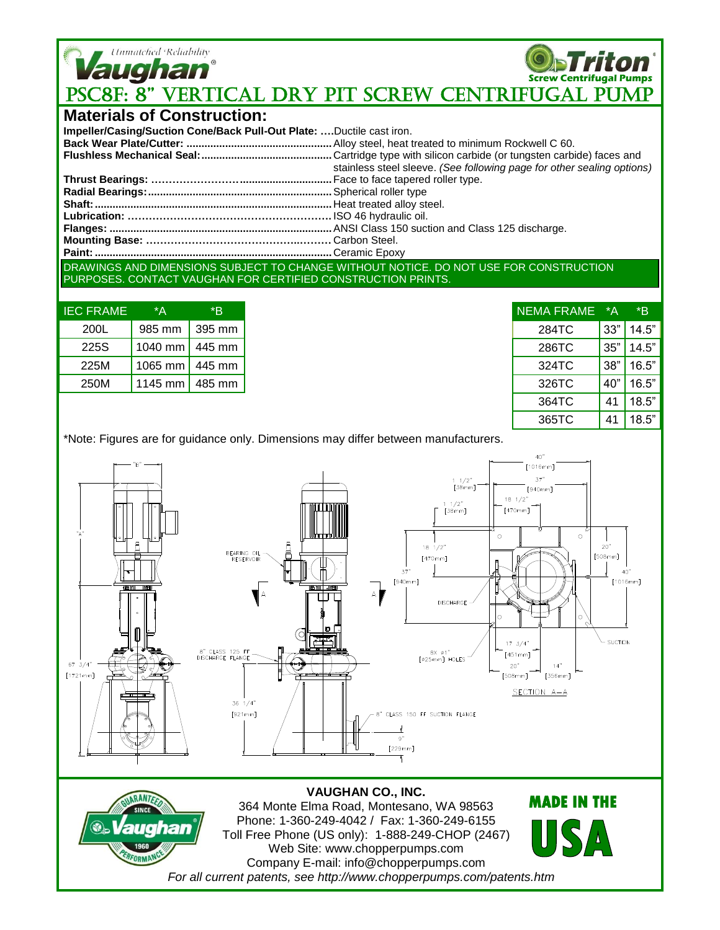

**Screw Centrifugal Pumps PSC8F: 8" VERTICAL DRY PIT SCREW CENTRIFUGAL PUMP** 

## **Materials of Construction:**

| Impeller/Casing/Suction Cone/Back Pull-Out Plate: Ductile cast iron.                  |                                                                        |  |  |
|---------------------------------------------------------------------------------------|------------------------------------------------------------------------|--|--|
|                                                                                       |                                                                        |  |  |
|                                                                                       |                                                                        |  |  |
|                                                                                       | stainless steel sleeve. (See following page for other sealing options) |  |  |
|                                                                                       |                                                                        |  |  |
|                                                                                       |                                                                        |  |  |
|                                                                                       |                                                                        |  |  |
|                                                                                       |                                                                        |  |  |
|                                                                                       |                                                                        |  |  |
|                                                                                       |                                                                        |  |  |
|                                                                                       |                                                                        |  |  |
| DRAWINGS AND DIMENSIONS SUBJECT TO CHANGE WITHOUT NOTICE. DO NOT USE FOR CONSTRUCTION |                                                                        |  |  |

PURPOSES. CONTACT VAUGHAN FOR CERTIFIED CONSTRUCTION PRINTS.

| <b>IEC FRAME</b> | *Α                     | *R     |
|------------------|------------------------|--------|
| 200L             | 985 mm   395 mm        |        |
| 225S             | 1040 mm                | 445 mm |
| 225M             | 1065 mm   445 mm       |        |
| 250M             | 1145 mm $\vert$ 485 mm |        |

| <b>NEMA FRAME</b> | *Α  | *R    |
|-------------------|-----|-------|
| 284TC             | 33" | 14.5" |
| 286TC             | 35" | 14.5" |
| 324TC             | 38" | 16.5" |
| 326TC             | 40" | 16.5" |
| 364TC             | 41  | 18.5" |
| 365TC             | 41  | 18.5" |

 $\mathbf{A}$ 

\*Note: Figures are for guidance only. Dimensions may differ between manufacturers.



## 364 Monte Elma Road, Montesano, WA 98563 Phone: 1-360-249-4042 / Fax: 1-360-249-6155 Toll Free Phone (US only): 1-888-249-CHOP (2467) Web Site: www.chopperpumps.com Company E-mail: info@chopperpumps.com *For all current patents, see http://www.chopperpumps.com/patents.htm*